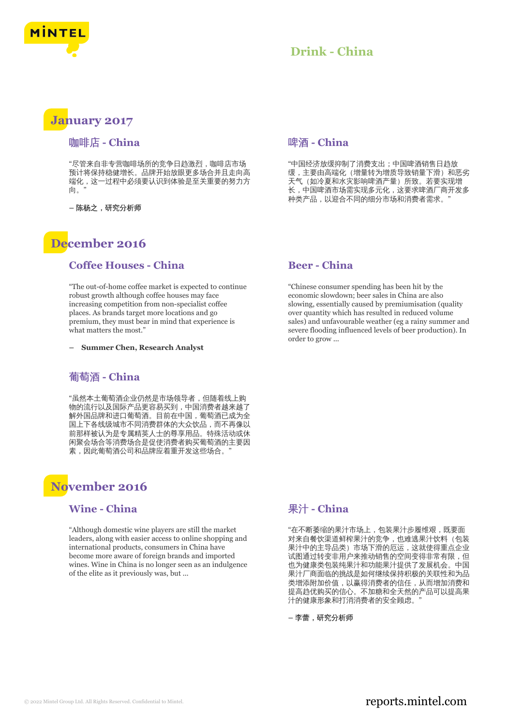

### **January 2017**

### 咖啡店 **- China**

"尽管来自非专营咖啡场所的竞争日趋激烈,咖啡店市场 预计将保持稳健增长。品牌开始放眼更多场合并且走向高 端化,这一过程中必须要认识到体验是至关重要的努力方 向。"

**–** 陈杨之,研究分析师

# **December 2016**

### **Coffee Houses - China**

"The out-of-home coffee market is expected to continue robust growth although coffee houses may face increasing competition from non-specialist coffee places. As brands target more locations and go premium, they must bear in mind that experience is what matters the most."

**– Summer Chen, Research Analyst**

### 葡萄酒 **- China**

"虽然本土葡萄酒企业仍然是市场领导者,但随着线上购 物的流行以及国际产品更容易买到,中国消费者越来越了 解外国品牌和进口葡萄酒。目前在中国,葡萄酒已成为全 国上下各线级城市不同消费群体的大众饮品,而不再像以 前那样被认为是专属精英人士的尊享用品。特殊活动或休 闲聚会场合等消费场合是促使消费者购买葡萄酒的主要因 素,因此葡萄酒公司和品牌应着重开发这些场合。

## **November 2016**

### **Wine - China**

"Although domestic wine players are still the market leaders, along with easier access to online shopping and international products, consumers in China have become more aware of foreign brands and imported wines. Wine in China is no longer seen as an indulgence of the elite as it previously was, but ...

#### 啤酒 **- China**

"中国经济放缓抑制了消费支出;中国啤酒销售日趋放 缓,主要由高端化(增量转为增质导致销量下滑)和恶劣 天气(如冷夏和水灾影响啤酒产量)所致。若要实现增 长,中国啤酒市场需实现多元化,这要求啤酒厂商开发多 种类产品,以迎合不同的细分市场和消费者需求。"

### **Beer - China**

"Chinese consumer spending has been hit by the economic slowdown; beer sales in China are also slowing, essentially caused by premiumisation (quality over quantity which has resulted in reduced volume sales) and unfavourable weather (eg a rainy summer and severe flooding influenced levels of beer production). In order to grow ...

### 果汁 **- China**

"在不断萎缩的果汁市场上,包装果汁步履维艰,既要面 对来自餐饮渠道鲜榨果汁的竞争,也难逃果汁饮料(包装 果汁中的主导品类)市场下滑的厄运,这就使得重点企业 试图通过转变非用户来推动销售的空间变得非常有限,但 也为健康类包装纯果汁和功能果汁提供了发展机会。中国 果汁厂商面临的挑战是如何继续保持积极的关联性和为品 类增添附加价值,以赢得消费者的信任,从而增加消费和 提高趋优购买的信心。不加糖和全天然的产品可以提高果 汁的健康形象和打消消费者的安全顾虑。"

**–** 李蕾,研究分析师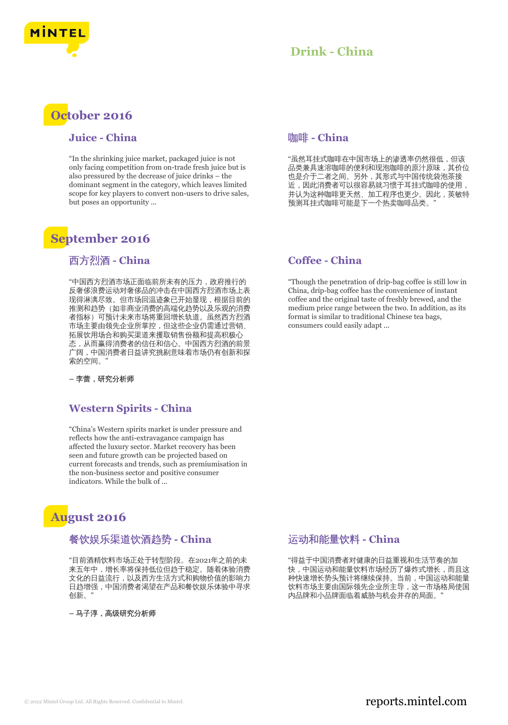

### **October 2016**

### **Juice - China**

"In the shrinking juice market, packaged juice is not only facing competition from on-trade fresh juice but is also pressured by the decrease of juice drinks – the dominant segment in the category, which leaves limited scope for key players to convert non-users to drive sales, but poses an opportunity ...

# **September 2016**

### 西方烈酒 **- China**

"中国西方烈酒市场正面临前所未有的压力,政府推行的 反奢侈浪费运动对奢侈品的冲击在中国西方烈酒市场上表 现得淋漓尽致。但市场回温迹象已开始显现,根据目前的 推测和趋势(如非商业消费的高端化趋势以及乐观的消费 者指标)可预计未来市场将重回增长轨道。虽然西方烈酒 市场主要由领先企业所掌控,但这些企业仍需通过营销、 拓展饮用场合和购买渠道来攫取销售份额和提高积极心 态,从而赢得消费者的信任和信心。中国西方烈酒的前景 广阔,中国消费者日益讲究挑剔意味着市场仍有创新和探 索的空间。"

**–** 李蕾,研究分析师

### **Western Spirits - China**

"China's Western spirits market is under pressure and reflects how the anti-extravagance campaign has affected the luxury sector. Market recovery has been seen and future growth can be projected based on current forecasts and trends, such as premiumisation in the non-business sector and positive consumer indicators. While the bulk of ...

# **August 2016**

### 餐饮娱乐渠道饮酒趋势 **- China**

"目前酒精饮料市场正处于转型阶段。在2021年之前的未 来五年中,增长率将保持低位但趋于稳定。随着体验消费 文化的日益流行,以及西方生活方式和购物价值的影响力 日趋增强,中国消费者渴望在产品和餐饮娱乐体验中寻求 创新。"

**–** 马子淳,高级研究分析师

### 咖啡 **- China**

"虽然耳挂式咖啡在中国市场上的渗透率仍然很低,但该 品类兼具速溶咖啡的便利和现泡咖啡的原汁原味,其价位 也是介于二者之间。另外,其形式与中国传统袋泡茶接 近,因此消费者可以很容易就习惯于耳挂式咖啡的使用, 并认为这种咖啡更天然、加工程序也更少。因此,英敏特 预测耳挂式咖啡可能是下一个热卖咖啡品类。"

### **Coffee - China**

"Though the penetration of drip-bag coffee is still low in China, drip-bag coffee has the convenience of instant coffee and the original taste of freshly brewed, and the medium price range between the two. In addition, as its format is similar to traditional Chinese tea bags, consumers could easily adapt ...

### 运动和能量饮料 **- China**

"得益于中国消费者对健康的日益重视和生活节奏的加 快,中国运动和能量饮料市场经历了爆炸式增长,而且这 种快速增长势头预计将继续保持。当前,中国运动和能量 饮料市场主要由国际领先企业所主导,这一市场格局使国 内品牌和小品牌面临着威胁与机会并存的局面。"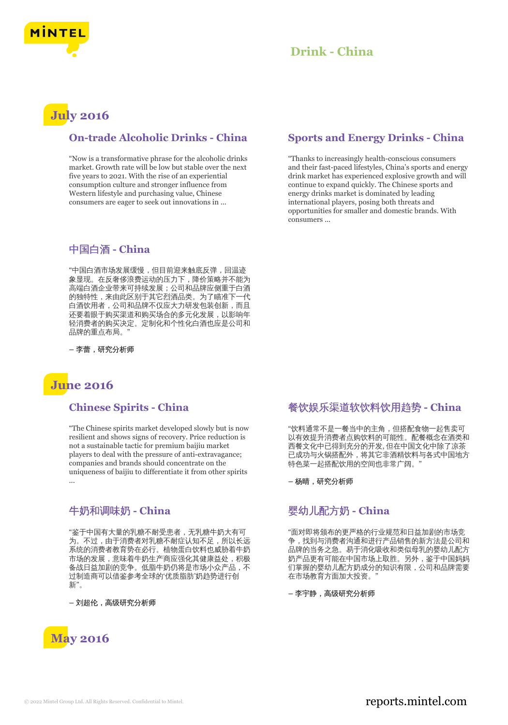

# **July 2016**

### **On-trade Alcoholic Drinks - China**

"Now is a transformative phrase for the alcoholic drinks market. Growth rate will be low but stable over the next five years to 2021. With the rise of an experiential consumption culture and stronger influence from Western lifestyle and purchasing value, Chinese consumers are eager to seek out innovations in ...

### 中国白酒 **- China**

"中国白酒市场发展缓慢,但目前迎来触底反弹,回温迹 象显现。在反奢侈浪费运动的压力下,降价策略并不能为 高端白酒企业带来可持续发展;公司和品牌应侧重于白酒 的独特性,来由此区别于其它烈酒品类。为了瞄准下一代 白酒饮用者,公司和品牌不仅应大力研发包装创新,而且 还要着眼于购买渠道和购买场合的多元化发展,以影响年 轻消费者的购买决定。定制化和个性化白酒也应是公司和 品牌的重点布局。"

**–** 李蕾,研究分析师

## **June 2016**

### **Chinese Spirits - China**

"The Chinese spirits market developed slowly but is now resilient and shows signs of recovery. Price reduction is not a sustainable tactic for premium baijiu market players to deal with the pressure of anti-extravagance; companies and brands should concentrate on the uniqueness of baijiu to differentiate it from other spirits ...

### 牛奶和调味奶 **- China**

"鉴于中国有大量的乳糖不耐受患者,无乳糖牛奶大有可 为。不过,由于消费者对乳糖不耐症认知不足,所以长远 系统的消费者教育势在必行。植物蛋白饮料也威胁着牛奶 市场的发展,意味着牛奶生产商应强化其健康益处,积极 备战日益加剧的竞争。低脂牛奶仍将是市场小众产品,不 过制造商可以借鉴参考全球的'优质脂肪'奶趋势进行创 新"。

**–** 刘超伦,高级研究分析师



### **Sports and Energy Drinks - China**

"Thanks to increasingly health-conscious consumers and their fast-paced lifestyles, China's sports and energy drink market has experienced explosive growth and will continue to expand quickly. The Chinese sports and energy drinks market is dominated by leading international players, posing both threats and opportunities for smaller and domestic brands. With consumers ...

### 餐饮娱乐渠道软饮料饮用趋势 **- China**

"饮料通常不是一餐当中的主角,但搭配食物一起售卖可 以有效提升消费者点购饮料的可能性。配餐概念在酒类和 西餐文化中已得到充分的开发, 但在中国文化中除了凉茶 已成功与火锅搭配外,将其它非酒精饮料与各式中国地方 特色菜一起搭配饮用的空间也非常广阔。

**–** 杨晴,研究分析师

### 婴幼儿配方奶 **- China**

"面对即将颁布的更严格的行业规范和日益加剧的市场竞 争,找到与消费者沟通和进行产品销售的新方法是公司和 品牌的当务之急。易于消化吸收和类似母乳的婴幼儿配方 奶产品更有可能在中国市场上取胜。另外,鉴于中国妈妈 们掌握的婴幼儿配方奶成分的知识有限,公司和品牌需要 在市场教育方面加大投资。"

**–** 李宇静,高级研究分析师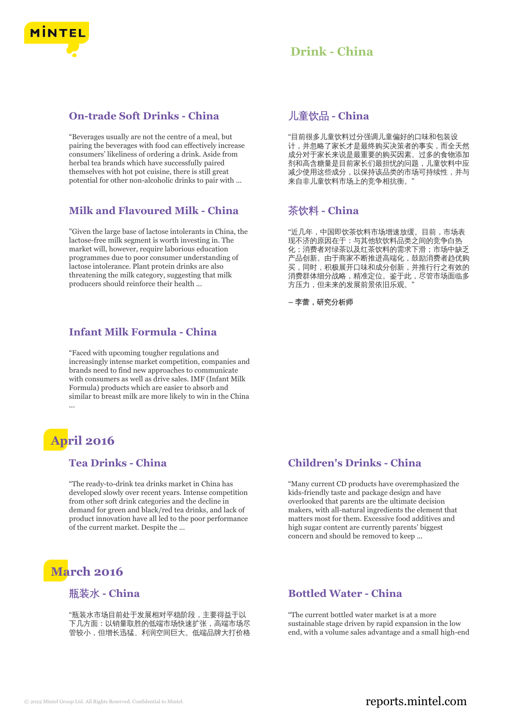

#### **On-trade Soft Drinks - China**

"Beverages usually are not the centre of a meal, but pairing the beverages with food can effectively increase consumers' likeliness of ordering a drink. Aside from herbal tea brands which have successfully paired themselves with hot pot cuisine, there is still great potential for other non-alcoholic drinks to pair with ...

### **Milk and Flavoured Milk - China**

"Given the large base of lactose intolerants in China, the lactose-free milk segment is worth investing in. The market will, however, require laborious education programmes due to poor consumer understanding of lactose intolerance. Plant protein drinks are also threatening the milk category, suggesting that milk producers should reinforce their health ...

#### **Infant Milk Formula - China**

"Faced with upcoming tougher regulations and increasingly intense market competition, companies and brands need to find new approaches to communicate with consumers as well as drive sales. IMF (Infant Milk Formula) products which are easier to absorb and similar to breast milk are more likely to win in the China ...

# **April 2016**

### **Tea Drinks - China**

"The ready-to-drink tea drinks market in China has developed slowly over recent years. Intense competition from other soft drink categories and the decline in demand for green and black/red tea drinks, and lack of product innovation have all led to the poor performance of the current market. Despite the ...

# **March 2016**

#### 瓶装水 **- China**

"瓶装水市场目前处于发展相对平稳阶段,主要得益于以 下几方面:以销量取胜的低端市场快速扩张,高端市场尽 管较小,但增长迅猛、利润空间巨大。低端品牌大打价格

### 儿童饮品 **- China**

"目前很多儿童饮料过分强调儿童偏好的口味和包装设 计,并忽略了家长才是最终购买决策者的事实,而全天然 成分对于家长来说是最重要的购买因素。过多的食物添加 剂和高含糖量是目前家长们最担忧的问题,儿童饮料中应 减少使用这些成分,以保持该品类的市场可持续性,并与 来自非儿童饮料市场上的竞争相抗衡。"

### 茶饮料 **- China**

"近几年,中国即饮茶饮料市场增速放缓。目前,市场表 现不济的原因在于:与其他软饮料品类之间的竞争白热 化;消费者对绿茶以及红茶饮料的需求下滑;市场中缺乏 产品创新。由于商家不断推进高端化,鼓励消费者趋优购 买,同时,积极展开口味和成分创新,并推行行之有效的 消费群体细分战略,精准定位。鉴于此,尽管市场面临多 方压力,但未来的发展前景依旧乐观。

**–** 李蕾,研究分析师

### **Children's Drinks - China**

"Many current CD products have overemphasized the kids-friendly taste and package design and have overlooked that parents are the ultimate decision makers, with all-natural ingredients the element that matters most for them. Excessive food additives and high sugar content are currently parents' biggest concern and should be removed to keep ...

#### **Bottled Water - China**

"The current bottled water market is at a more sustainable stage driven by rapid expansion in the low end, with a volume sales advantage and a small high-end

### © 2022 Mintel Group Ltd. All Rights Reserved. Confidential to Mintel.  $\blacksquare$  reports.mintel.com